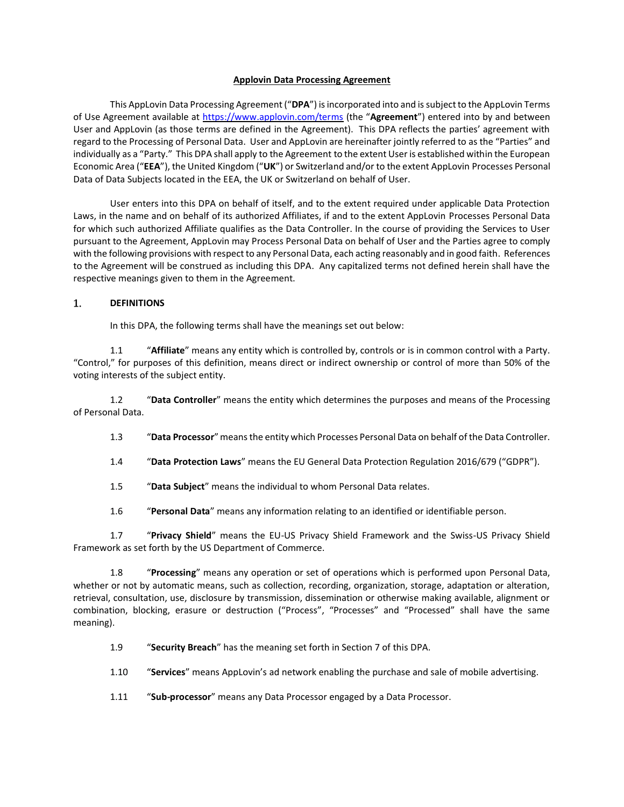# **Applovin Data Processing Agreement**

This AppLovin Data Processing Agreement ("**DPA**") is incorporated into and is subject to the AppLovin Terms of Use Agreement available at<https://www.applovin.com/terms> (the "**Agreement**") entered into by and between User and AppLovin (as those terms are defined in the Agreement). This DPA reflects the parties' agreement with regard to the Processing of Personal Data. User and AppLovin are hereinafter jointly referred to as the "Parties" and individually as a "Party." This DPA shall apply to the Agreement to the extent User is established within the European Economic Area ("**EEA**"), the United Kingdom ("**UK**") or Switzerland and/or to the extent AppLovin Processes Personal Data of Data Subjects located in the EEA, the UK or Switzerland on behalf of User.

User enters into this DPA on behalf of itself, and to the extent required under applicable Data Protection Laws, in the name and on behalf of its authorized Affiliates, if and to the extent AppLovin Processes Personal Data for which such authorized Affiliate qualifies as the Data Controller. In the course of providing the Services to User pursuant to the Agreement, AppLovin may Process Personal Data on behalf of User and the Parties agree to comply with the following provisions with respect to any Personal Data, each acting reasonably and in good faith. References to the Agreement will be construed as including this DPA. Any capitalized terms not defined herein shall have the respective meanings given to them in the Agreement.

#### **DEFINITIONS** 1.

In this DPA, the following terms shall have the meanings set out below:

1.1 "**Affiliate**" means any entity which is controlled by, controls or is in common control with a Party. "Control," for purposes of this definition, means direct or indirect ownership or control of more than 50% of the voting interests of the subject entity.

1.2 "**Data Controller**" means the entity which determines the purposes and means of the Processing of Personal Data.

1.3 "**Data Processor**" means the entity which Processes Personal Data on behalf of the Data Controller.

1.4 "**Data Protection Laws**" means the EU General Data Protection Regulation 2016/679 ("GDPR").

1.5 "**Data Subject**" means the individual to whom Personal Data relates.

1.6 "**Personal Data**" means any information relating to an identified or identifiable person.

1.7 "**Privacy Shield**" means the EU-US Privacy Shield Framework and the Swiss-US Privacy Shield Framework as set forth by the US Department of Commerce.

1.8 "**Processing**" means any operation or set of operations which is performed upon Personal Data, whether or not by automatic means, such as collection, recording, organization, storage, adaptation or alteration, retrieval, consultation, use, disclosure by transmission, dissemination or otherwise making available, alignment or combination, blocking, erasure or destruction ("Process", "Processes" and "Processed" shall have the same meaning).

1.9 "**Security Breach**" has the meaning set forth in Section 7 of this DPA.

1.10 "**Services**" means AppLovin's ad network enabling the purchase and sale of mobile advertising.

1.11 "**Sub-processor**" means any Data Processor engaged by a Data Processor.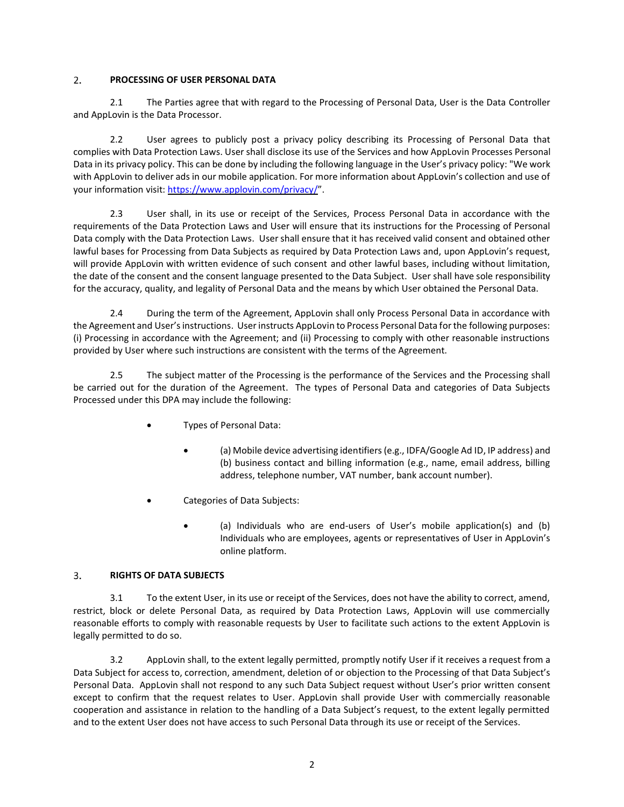#### $2.$ **PROCESSING OF USER PERSONAL DATA**

2.1 The Parties agree that with regard to the Processing of Personal Data, User is the Data Controller and AppLovin is the Data Processor.

2.2 User agrees to publicly post a privacy policy describing its Processing of Personal Data that complies with Data Protection Laws. User shall disclose its use of the Services and how AppLovin Processes Personal Data in its privacy policy. This can be done by including the following language in the User's privacy policy: "We work with AppLovin to deliver ads in our mobile application. For more information about AppLovin's collection and use of your information visit[: https://www.applovin.com/privacy/](https://www.applovin.com/privacy/)".

2.3 User shall, in its use or receipt of the Services, Process Personal Data in accordance with the requirements of the Data Protection Laws and User will ensure that its instructions for the Processing of Personal Data comply with the Data Protection Laws. User shall ensure that it has received valid consent and obtained other lawful bases for Processing from Data Subjects as required by Data Protection Laws and, upon AppLovin's request, will provide AppLovin with written evidence of such consent and other lawful bases, including without limitation, the date of the consent and the consent language presented to the Data Subject. User shall have sole responsibility for the accuracy, quality, and legality of Personal Data and the means by which User obtained the Personal Data.

2.4 During the term of the Agreement, AppLovin shall only Process Personal Data in accordance with the Agreement and User's instructions. User instructs AppLovin to Process Personal Data for the following purposes: (i) Processing in accordance with the Agreement; and (ii) Processing to comply with other reasonable instructions provided by User where such instructions are consistent with the terms of the Agreement.

2.5 The subject matter of the Processing is the performance of the Services and the Processing shall be carried out for the duration of the Agreement. The types of Personal Data and categories of Data Subjects Processed under this DPA may include the following:

- Types of Personal Data:
	- (a) Mobile device advertising identifiers (e.g., IDFA/Google Ad ID, IP address) and (b) business contact and billing information (e.g., name, email address, billing address, telephone number, VAT number, bank account number).
- Categories of Data Subjects:
	- (a) Individuals who are end-users of User's mobile application(s) and (b) Individuals who are employees, agents or representatives of User in AppLovin's online platform.

#### $3.$ **RIGHTS OF DATA SUBJECTS**

3.1 To the extent User, in its use or receipt of the Services, does not have the ability to correct, amend, restrict, block or delete Personal Data, as required by Data Protection Laws, AppLovin will use commercially reasonable efforts to comply with reasonable requests by User to facilitate such actions to the extent AppLovin is legally permitted to do so.

3.2 AppLovin shall, to the extent legally permitted, promptly notify User if it receives a request from a Data Subject for access to, correction, amendment, deletion of or objection to the Processing of that Data Subject's Personal Data. AppLovin shall not respond to any such Data Subject request without User's prior written consent except to confirm that the request relates to User. AppLovin shall provide User with commercially reasonable cooperation and assistance in relation to the handling of a Data Subject's request, to the extent legally permitted and to the extent User does not have access to such Personal Data through its use or receipt of the Services.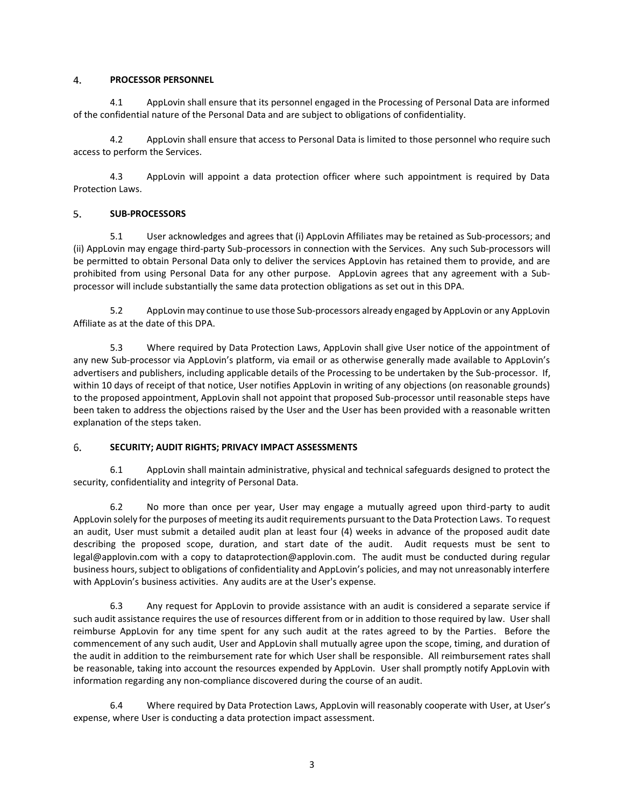#### 4. **PROCESSOR PERSONNEL**

4.1 AppLovin shall ensure that its personnel engaged in the Processing of Personal Data are informed of the confidential nature of the Personal Data and are subject to obligations of confidentiality.

4.2 AppLovin shall ensure that access to Personal Data is limited to those personnel who require such access to perform the Services.

4.3 AppLovin will appoint a data protection officer where such appointment is required by Data Protection Laws.

#### 5. **SUB-PROCESSORS**

5.1 User acknowledges and agrees that (i) AppLovin Affiliates may be retained as Sub-processors; and (ii) AppLovin may engage third-party Sub-processors in connection with the Services. Any such Sub-processors will be permitted to obtain Personal Data only to deliver the services AppLovin has retained them to provide, and are prohibited from using Personal Data for any other purpose. AppLovin agrees that any agreement with a Subprocessor will include substantially the same data protection obligations as set out in this DPA.

5.2 AppLovin may continue to use those Sub-processors already engaged by AppLovin or any AppLovin Affiliate as at the date of this DPA.

5.3 Where required by Data Protection Laws, AppLovin shall give User notice of the appointment of any new Sub-processor via AppLovin's platform, via email or as otherwise generally made available to AppLovin's advertisers and publishers, including applicable details of the Processing to be undertaken by the Sub-processor. If, within 10 days of receipt of that notice, User notifies AppLovin in writing of any objections (on reasonable grounds) to the proposed appointment, AppLovin shall not appoint that proposed Sub-processor until reasonable steps have been taken to address the objections raised by the User and the User has been provided with a reasonable written explanation of the steps taken.

#### 6. **SECURITY; AUDIT RIGHTS; PRIVACY IMPACT ASSESSMENTS**

6.1 AppLovin shall maintain administrative, physical and technical safeguards designed to protect the security, confidentiality and integrity of Personal Data.

6.2 No more than once per year, User may engage a mutually agreed upon third-party to audit AppLovin solely for the purposes of meeting its audit requirements pursuant to the Data Protection Laws. To request an audit, User must submit a detailed audit plan at least four (4) weeks in advance of the proposed audit date describing the proposed scope, duration, and start date of the audit. Audit requests must be sent to legal@applovin.com with a copy to dataprotection@applovin.com. The audit must be conducted during regular business hours, subject to obligations of confidentiality and AppLovin's policies, and may not unreasonably interfere with AppLovin's business activities. Any audits are at the User's expense.

6.3 Any request for AppLovin to provide assistance with an audit is considered a separate service if such audit assistance requires the use of resources different from or in addition to those required by law. User shall reimburse AppLovin for any time spent for any such audit at the rates agreed to by the Parties. Before the commencement of any such audit, User and AppLovin shall mutually agree upon the scope, timing, and duration of the audit in addition to the reimbursement rate for which User shall be responsible. All reimbursement rates shall be reasonable, taking into account the resources expended by AppLovin. User shall promptly notify AppLovin with information regarding any non-compliance discovered during the course of an audit.

6.4 Where required by Data Protection Laws, AppLovin will reasonably cooperate with User, at User's expense, where User is conducting a data protection impact assessment.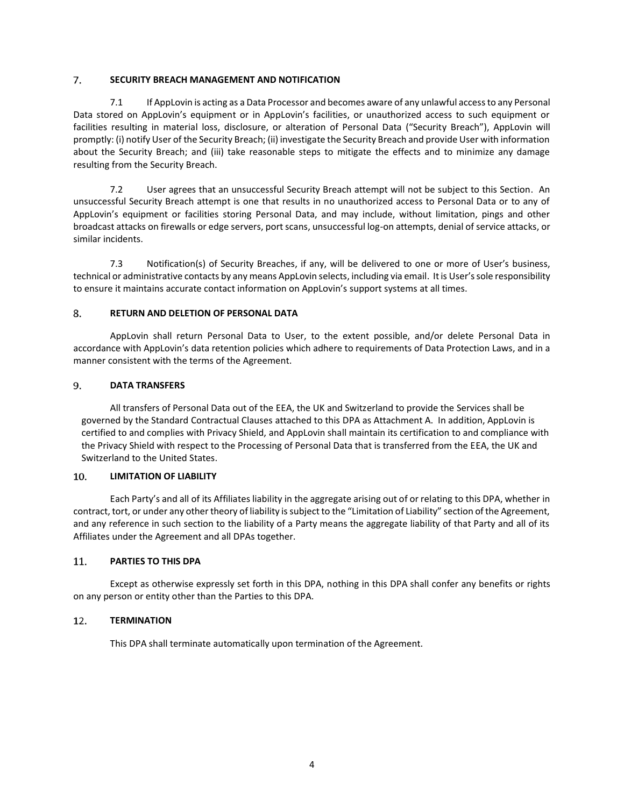### 7. **SECURITY BREACH MANAGEMENT AND NOTIFICATION**

7.1 If AppLovin is acting as a Data Processor and becomes aware of any unlawful access to any Personal Data stored on AppLovin's equipment or in AppLovin's facilities, or unauthorized access to such equipment or facilities resulting in material loss, disclosure, or alteration of Personal Data ("Security Breach"), AppLovin will promptly: (i) notify User of the Security Breach; (ii) investigate the Security Breach and provide User with information about the Security Breach; and (iii) take reasonable steps to mitigate the effects and to minimize any damage resulting from the Security Breach.

7.2 User agrees that an unsuccessful Security Breach attempt will not be subject to this Section. An unsuccessful Security Breach attempt is one that results in no unauthorized access to Personal Data or to any of AppLovin's equipment or facilities storing Personal Data, and may include, without limitation, pings and other broadcast attacks on firewalls or edge servers, port scans, unsuccessful log-on attempts, denial of service attacks, or similar incidents.

7.3 Notification(s) of Security Breaches, if any, will be delivered to one or more of User's business, technical or administrative contacts by any means AppLovin selects, including via email. It is User's sole responsibility to ensure it maintains accurate contact information on AppLovin's support systems at all times.

#### 8. **RETURN AND DELETION OF PERSONAL DATA**

AppLovin shall return Personal Data to User, to the extent possible, and/or delete Personal Data in accordance with AppLovin's data retention policies which adhere to requirements of Data Protection Laws, and in a manner consistent with the terms of the Agreement.

#### 9. **DATA TRANSFERS**

All transfers of Personal Data out of the EEA, the UK and Switzerland to provide the Services shall be governed by the Standard Contractual Clauses attached to this DPA as Attachment A. In addition, AppLovin is certified to and complies with Privacy Shield, and AppLovin shall maintain its certification to and compliance with the Privacy Shield with respect to the Processing of Personal Data that is transferred from the EEA, the UK and Switzerland to the United States.

#### 10. **LIMITATION OF LIABILITY**

Each Party's and all of its Affiliates liability in the aggregate arising out of or relating to this DPA, whether in contract, tort, or under any other theory of liability is subject to the "Limitation of Liability" section of the Agreement, and any reference in such section to the liability of a Party means the aggregate liability of that Party and all of its Affiliates under the Agreement and all DPAs together.

### 11. **PARTIES TO THIS DPA**

Except as otherwise expressly set forth in this DPA, nothing in this DPA shall confer any benefits or rights on any person or entity other than the Parties to this DPA.

#### 12. **TERMINATION**

This DPA shall terminate automatically upon termination of the Agreement.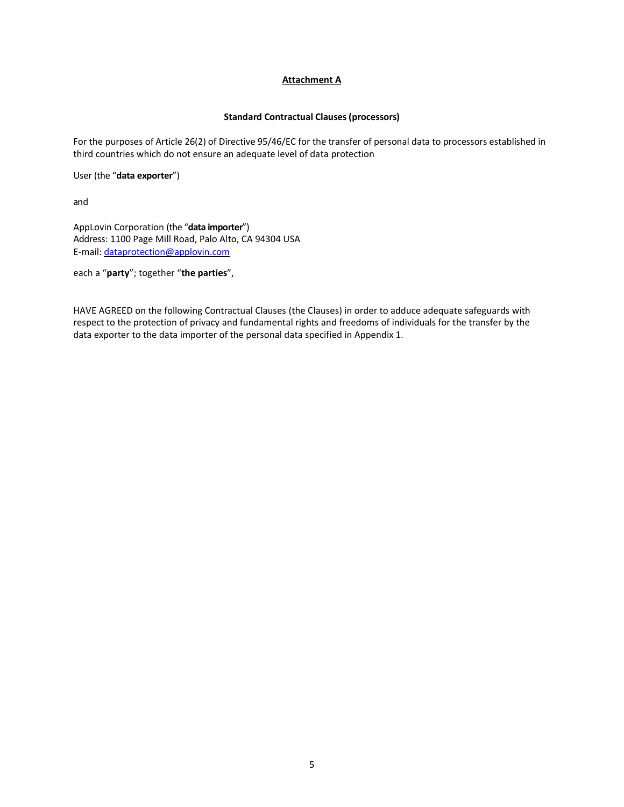# **Attachment A**

# **Standard Contractual Clauses (processors)**

For the purposes of Article 26(2) of Directive 95/46/EC for the transfer of personal data to processors established in third countries which do not ensure an adequate level of data protection

User (the "**data exporter**")

and

AppLovin Corporation (the "**data importer**") Address: 1100 Page Mill Road, Palo Alto, CA 94304 USA E-mail: [dataprotection@applovin.com](mailto:dataprotection@applovin.com) 

each a "**party**"; together "**the parties**",

HAVE AGREED on the following Contractual Clauses (the Clauses) in order to adduce adequate safeguards with respect to the protection of privacy and fundamental rights and freedoms of individuals for the transfer by the data exporter to the data importer of the personal data specified in Appendix 1.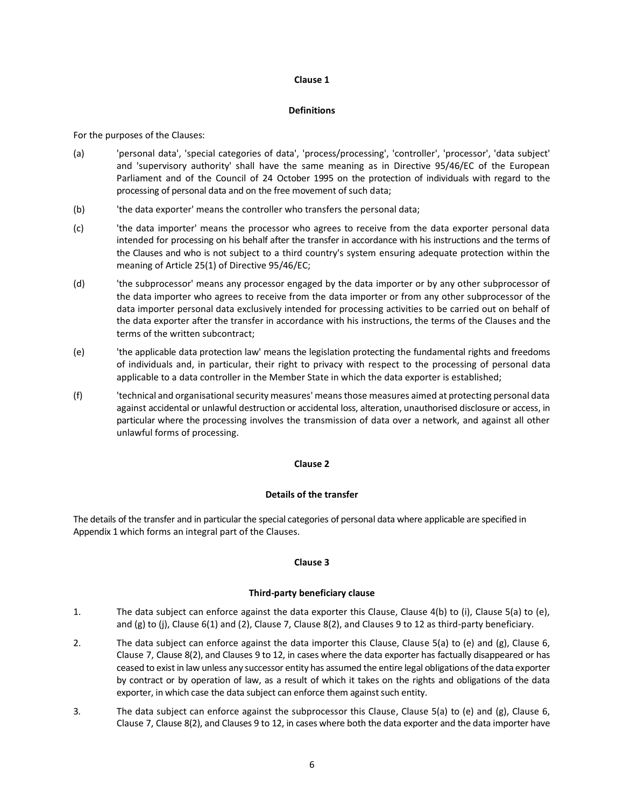### **Definitions**

For the purposes of the Clauses:

- (a) 'personal data', 'special categories of data', 'process/processing', 'controller', 'processor', 'data subject' and 'supervisory authority' shall have the same meaning as in Directive 95/46/EC of the European Parliament and of the Council of 24 October 1995 on the protection of individuals with regard to the processing of personal data and on the free movement of such data;
- (b) 'the data exporter' means the controller who transfers the personal data;
- (c) 'the data importer' means the processor who agrees to receive from the data exporter personal data intended for processing on his behalf after the transfer in accordance with his instructions and the terms of the Clauses and who is not subject to a third country's system ensuring adequate protection within the meaning of Article 25(1) of Directive 95/46/EC;
- (d) 'the subprocessor' means any processor engaged by the data importer or by any other subprocessor of the data importer who agrees to receive from the data importer or from any other subprocessor of the data importer personal data exclusively intended for processing activities to be carried out on behalf of the data exporter after the transfer in accordance with his instructions, the terms of the Clauses and the terms of the written subcontract;
- (e) 'the applicable data protection law' means the legislation protecting the fundamental rights and freedoms of individuals and, in particular, their right to privacy with respect to the processing of personal data applicable to a data controller in the Member State in which the data exporter is established;
- (f) 'technical and organisational security measures' means those measures aimed at protecting personal data against accidental or unlawful destruction or accidental loss, alteration, unauthorised disclosure or access, in particular where the processing involves the transmission of data over a network, and against all other unlawful forms of processing.

# **Clause 2**

# **Details of the transfer**

The details of the transfer and in particular the special categories of personal data where applicable are specified in Appendix 1 which forms an integral part of the Clauses.

# **Clause 3**

# **Third-party beneficiary clause**

- 1. The data subject can enforce against the data exporter this Clause, Clause 4(b) to (i), Clause 5(a) to (e), and (g) to (j), Clause 6(1) and (2), Clause 7, Clause 8(2), and Clauses 9 to 12 as third-party beneficiary.
- 2. The data subject can enforce against the data importer this Clause, Clause 5(a) to (e) and (g), Clause 6, Clause 7, Clause 8(2), and Clauses 9 to 12, in cases where the data exporter has factually disappeared or has ceased to exist in law unless any successor entity has assumed the entire legal obligations of the data exporter by contract or by operation of law, as a result of which it takes on the rights and obligations of the data exporter, in which case the data subject can enforce them against such entity.
- 3. The data subject can enforce against the subprocessor this Clause, Clause 5(a) to (e) and (g), Clause 6, Clause 7, Clause 8(2), and Clauses 9 to 12, in cases where both the data exporter and the data importer have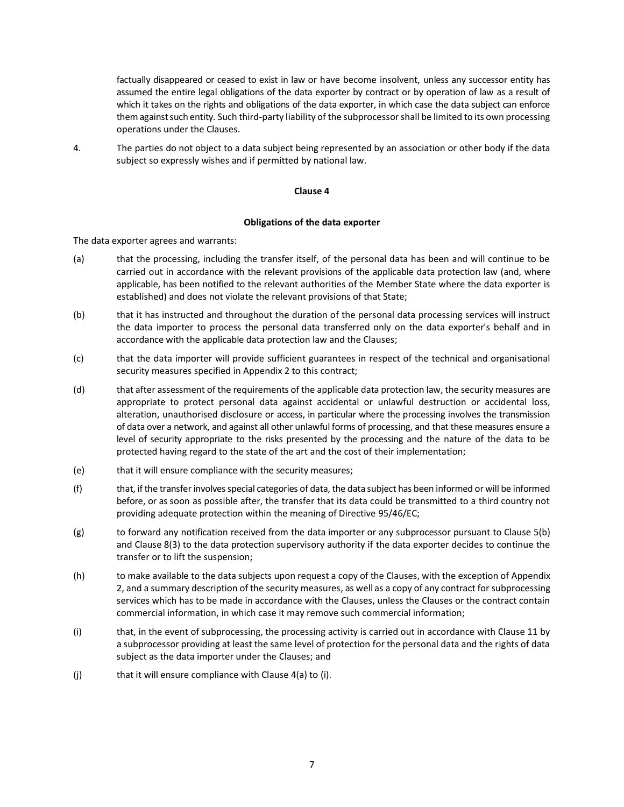factually disappeared or ceased to exist in law or have become insolvent, unless any successor entity has assumed the entire legal obligations of the data exporter by contract or by operation of law as a result of which it takes on the rights and obligations of the data exporter, in which case the data subject can enforce them against such entity. Such third-party liability of the subprocessor shall be limited to its own processing operations under the Clauses.

4. The parties do not object to a data subject being represented by an association or other body if the data subject so expressly wishes and if permitted by national law.

# **Clause 4**

# **Obligations of the data exporter**

The data exporter agrees and warrants:

- (a) that the processing, including the transfer itself, of the personal data has been and will continue to be carried out in accordance with the relevant provisions of the applicable data protection law (and, where applicable, has been notified to the relevant authorities of the Member State where the data exporter is established) and does not violate the relevant provisions of that State;
- (b) that it has instructed and throughout the duration of the personal data processing services will instruct the data importer to process the personal data transferred only on the data exporter's behalf and in accordance with the applicable data protection law and the Clauses;
- (c) that the data importer will provide sufficient guarantees in respect of the technical and organisational security measures specified in Appendix 2 to this contract;
- (d) that after assessment of the requirements of the applicable data protection law, the security measures are appropriate to protect personal data against accidental or unlawful destruction or accidental loss, alteration, unauthorised disclosure or access, in particular where the processing involves the transmission of data over a network, and against all other unlawful forms of processing, and that these measures ensure a level of security appropriate to the risks presented by the processing and the nature of the data to be protected having regard to the state of the art and the cost of their implementation;
- (e) that it will ensure compliance with the security measures;
- (f) that, if the transfer involves special categories of data, the data subject has been informed or will be informed before, or as soon as possible after, the transfer that its data could be transmitted to a third country not providing adequate protection within the meaning of Directive 95/46/EC;
- (g) to forward any notification received from the data importer or any subprocessor pursuant to Clause 5(b) and Clause 8(3) to the data protection supervisory authority if the data exporter decides to continue the transfer or to lift the suspension;
- (h) to make available to the data subjects upon request a copy of the Clauses, with the exception of Appendix 2, and a summary description of the security measures, as well as a copy of any contract for subprocessing services which has to be made in accordance with the Clauses, unless the Clauses or the contract contain commercial information, in which case it may remove such commercial information;
- (i) that, in the event of subprocessing, the processing activity is carried out in accordance with Clause 11 by a subprocessor providing at least the same level of protection for the personal data and the rights of data subject as the data importer under the Clauses; and
- $(j)$  that it will ensure compliance with Clause  $4(a)$  to  $(i)$ .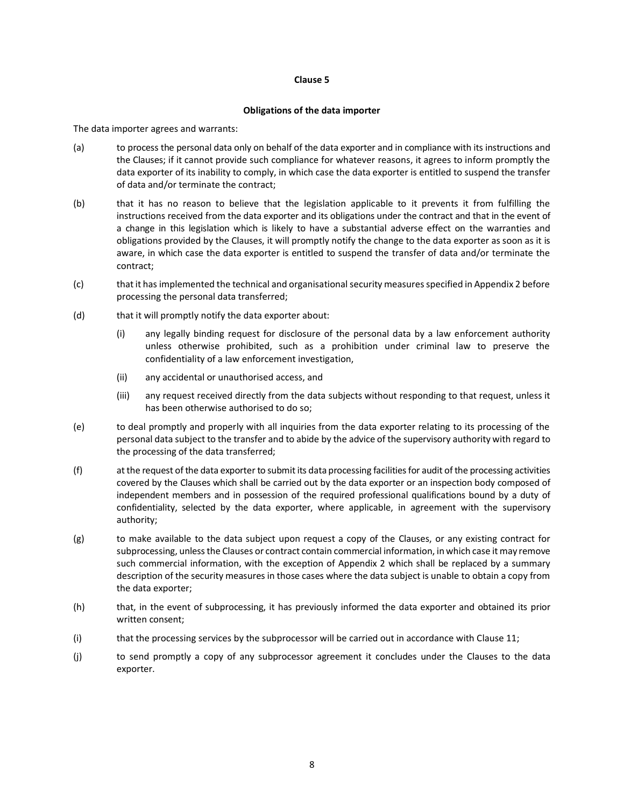### **Obligations of the data importer**

The data importer agrees and warrants:

- (a) to process the personal data only on behalf of the data exporter and in compliance with its instructions and the Clauses; if it cannot provide such compliance for whatever reasons, it agrees to inform promptly the data exporter of its inability to comply, in which case the data exporter is entitled to suspend the transfer of data and/or terminate the contract;
- (b) that it has no reason to believe that the legislation applicable to it prevents it from fulfilling the instructions received from the data exporter and its obligations under the contract and that in the event of a change in this legislation which is likely to have a substantial adverse effect on the warranties and obligations provided by the Clauses, it will promptly notify the change to the data exporter as soon as it is aware, in which case the data exporter is entitled to suspend the transfer of data and/or terminate the contract;
- (c) that it has implemented the technical and organisational security measures specified in Appendix 2 before processing the personal data transferred;
- (d) that it will promptly notify the data exporter about:
	- (i) any legally binding request for disclosure of the personal data by a law enforcement authority unless otherwise prohibited, such as a prohibition under criminal law to preserve the confidentiality of a law enforcement investigation,
	- (ii) any accidental or unauthorised access, and
	- (iii) any request received directly from the data subjects without responding to that request, unless it has been otherwise authorised to do so;
- (e) to deal promptly and properly with all inquiries from the data exporter relating to its processing of the personal data subject to the transfer and to abide by the advice of the supervisory authority with regard to the processing of the data transferred;
- (f) at the request of the data exporter to submit its data processing facilities for audit of the processing activities covered by the Clauses which shall be carried out by the data exporter or an inspection body composed of independent members and in possession of the required professional qualifications bound by a duty of confidentiality, selected by the data exporter, where applicable, in agreement with the supervisory authority;
- (g) to make available to the data subject upon request a copy of the Clauses, or any existing contract for subprocessing, unless the Clauses or contract contain commercial information, in which case it may remove such commercial information, with the exception of Appendix 2 which shall be replaced by a summary description of the security measures in those cases where the data subject is unable to obtain a copy from the data exporter;
- (h) that, in the event of subprocessing, it has previously informed the data exporter and obtained its prior written consent;
- (i) that the processing services by the subprocessor will be carried out in accordance with Clause 11;
- (j) to send promptly a copy of any subprocessor agreement it concludes under the Clauses to the data exporter.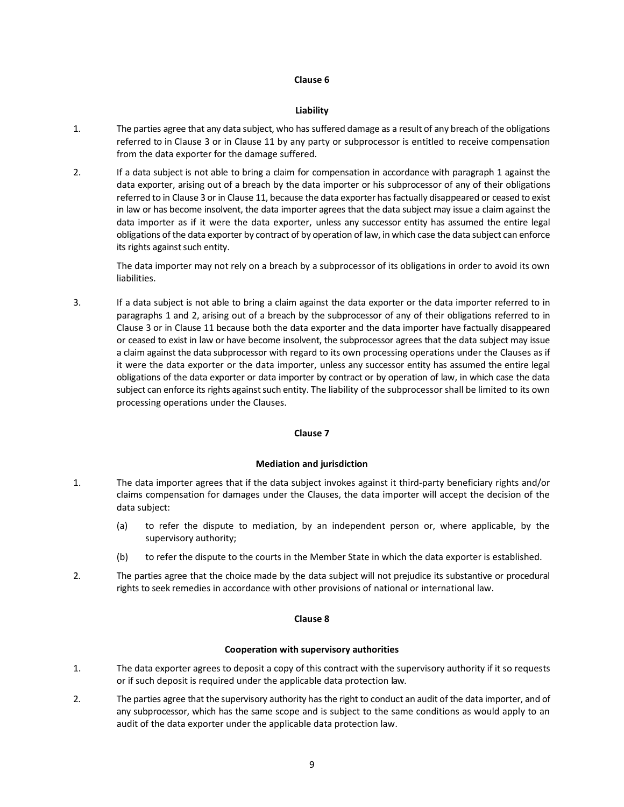### **Liability**

- 1. The parties agree that any data subject, who has suffered damage as a result of any breach of the obligations referred to in Clause 3 or in Clause 11 by any party or subprocessor is entitled to receive compensation from the data exporter for the damage suffered.
- 2. If a data subject is not able to bring a claim for compensation in accordance with paragraph 1 against the data exporter, arising out of a breach by the data importer or his subprocessor of any of their obligations referred to in Clause 3 or in Clause 11, because the data exporter has factually disappeared or ceased to exist in law or has become insolvent, the data importer agrees that the data subject may issue a claim against the data importer as if it were the data exporter, unless any successor entity has assumed the entire legal obligations of the data exporter by contract of by operation of law, in which case the data subject can enforce its rights against such entity.

The data importer may not rely on a breach by a subprocessor of its obligations in order to avoid its own liabilities.

3. If a data subject is not able to bring a claim against the data exporter or the data importer referred to in paragraphs 1 and 2, arising out of a breach by the subprocessor of any of their obligations referred to in Clause 3 or in Clause 11 because both the data exporter and the data importer have factually disappeared or ceased to exist in law or have become insolvent, the subprocessor agrees that the data subject may issue a claim against the data subprocessor with regard to its own processing operations under the Clauses as if it were the data exporter or the data importer, unless any successor entity has assumed the entire legal obligations of the data exporter or data importer by contract or by operation of law, in which case the data subject can enforce its rights against such entity. The liability of the subprocessor shall be limited to its own processing operations under the Clauses.

# **Clause 7**

# **Mediation and jurisdiction**

- 1. The data importer agrees that if the data subject invokes against it third-party beneficiary rights and/or claims compensation for damages under the Clauses, the data importer will accept the decision of the data subject:
	- (a) to refer the dispute to mediation, by an independent person or, where applicable, by the supervisory authority;
	- (b) to refer the dispute to the courts in the Member State in which the data exporter is established.
- 2. The parties agree that the choice made by the data subject will not prejudice its substantive or procedural rights to seek remedies in accordance with other provisions of national or international law.

# **Clause 8**

# **Cooperation with supervisory authorities**

- 1. The data exporter agrees to deposit a copy of this contract with the supervisory authority if it so requests or if such deposit is required under the applicable data protection law.
- 2. The parties agree that the supervisory authority has the right to conduct an audit of the data importer, and of any subprocessor, which has the same scope and is subject to the same conditions as would apply to an audit of the data exporter under the applicable data protection law.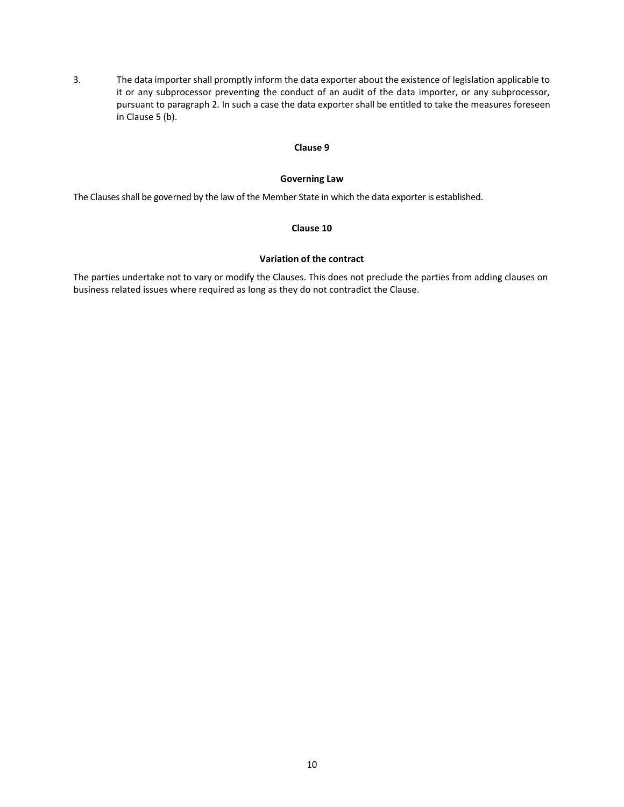3. The data importer shall promptly inform the data exporter about the existence of legislation applicable to it or any subprocessor preventing the conduct of an audit of the data importer, or any subprocessor, pursuant to paragraph 2. In such a case the data exporter shall be entitled to take the measures foreseen in Clause 5 (b).

# **Clause 9**

# **Governing Law**

The Clauses shall be governed by the law of the Member State in which the data exporter is established.

# **Clause 10**

# **Variation of the contract**

The parties undertake not to vary or modify the Clauses. This does not preclude the parties from adding clauses on business related issues where required as long as they do not contradict the Clause.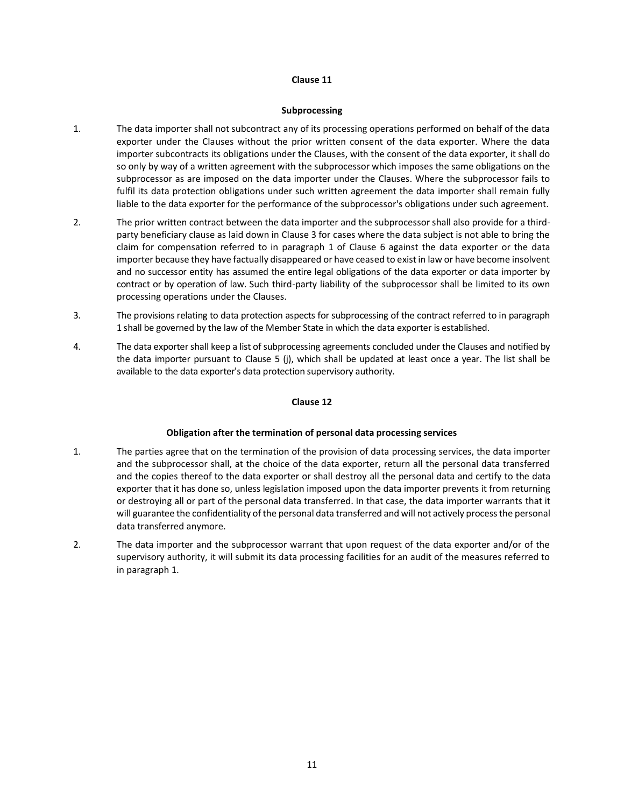### **Subprocessing**

- 1. The data importer shall not subcontract any of its processing operations performed on behalf of the data exporter under the Clauses without the prior written consent of the data exporter. Where the data importer subcontracts its obligations under the Clauses, with the consent of the data exporter, it shall do so only by way of a written agreement with the subprocessor which imposes the same obligations on the subprocessor as are imposed on the data importer under the Clauses. Where the subprocessor fails to fulfil its data protection obligations under such written agreement the data importer shall remain fully liable to the data exporter for the performance of the subprocessor's obligations under such agreement.
- 2. The prior written contract between the data importer and the subprocessor shall also provide for a thirdparty beneficiary clause as laid down in Clause 3 for cases where the data subject is not able to bring the claim for compensation referred to in paragraph 1 of Clause 6 against the data exporter or the data importer because they have factually disappeared or have ceased to exist in law or have become insolvent and no successor entity has assumed the entire legal obligations of the data exporter or data importer by contract or by operation of law. Such third-party liability of the subprocessor shall be limited to its own processing operations under the Clauses.
- 3. The provisions relating to data protection aspects for subprocessing of the contract referred to in paragraph 1 shall be governed by the law of the Member State in which the data exporter is established.
- 4. The data exporter shall keep a list of subprocessing agreements concluded under the Clauses and notified by the data importer pursuant to Clause 5 (j), which shall be updated at least once a year. The list shall be available to the data exporter's data protection supervisory authority.

## **Clause 12**

# **Obligation after the termination of personal data processing services**

- 1. The parties agree that on the termination of the provision of data processing services, the data importer and the subprocessor shall, at the choice of the data exporter, return all the personal data transferred and the copies thereof to the data exporter or shall destroy all the personal data and certify to the data exporter that it has done so, unless legislation imposed upon the data importer prevents it from returning or destroying all or part of the personal data transferred. In that case, the data importer warrants that it will guarantee the confidentiality of the personal data transferred and will not actively process the personal data transferred anymore.
- 2. The data importer and the subprocessor warrant that upon request of the data exporter and/or of the supervisory authority, it will submit its data processing facilities for an audit of the measures referred to in paragraph 1.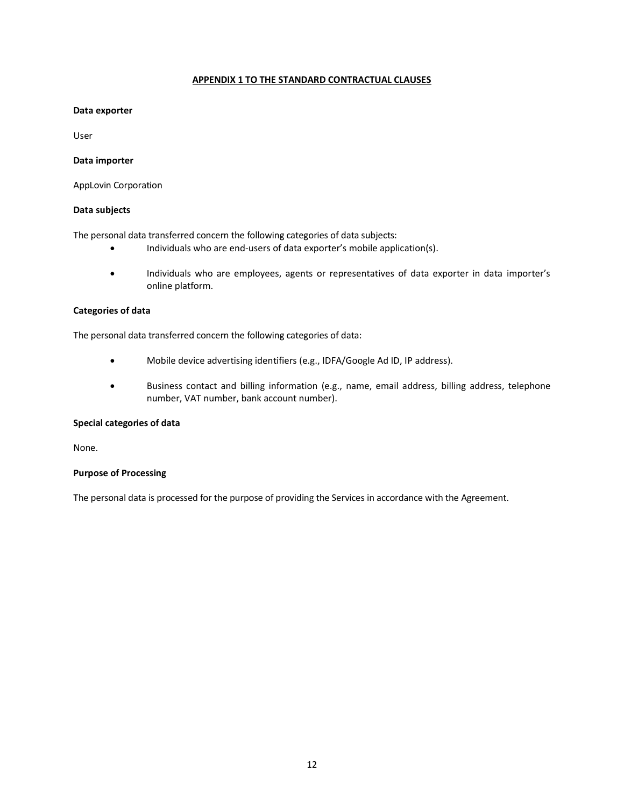# **APPENDIX 1 TO THE STANDARD CONTRACTUAL CLAUSES**

## **Data exporter**

User

# **Data importer**

AppLovin Corporation

# **Data subjects**

The personal data transferred concern the following categories of data subjects:

- Individuals who are end-users of data exporter's mobile application(s).
- Individuals who are employees, agents or representatives of data exporter in data importer's online platform.

# **Categories of data**

The personal data transferred concern the following categories of data:

- Mobile device advertising identifiers (e.g., IDFA/Google Ad ID, IP address).
- Business contact and billing information (e.g., name, email address, billing address, telephone number, VAT number, bank account number).

# **Special categories of data**

None.

# **Purpose of Processing**

The personal data is processed for the purpose of providing the Services in accordance with the Agreement.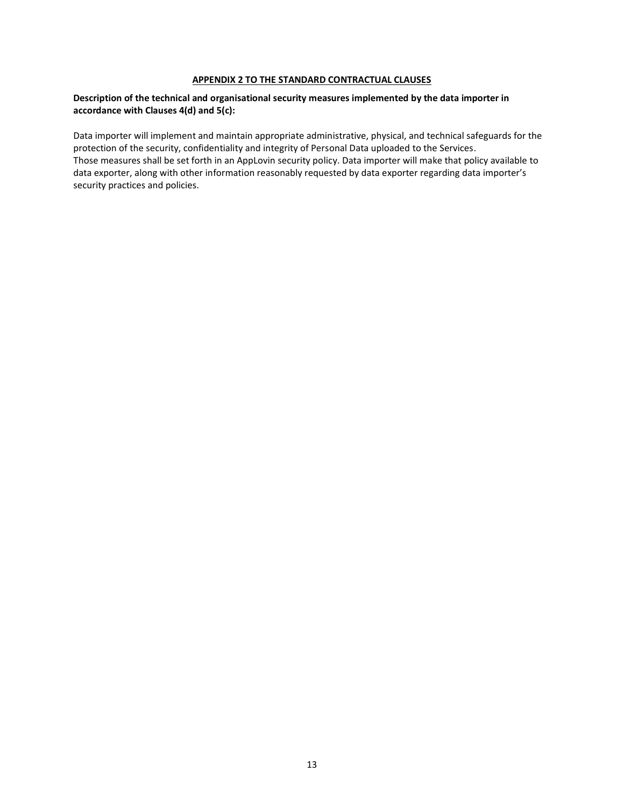# **APPENDIX 2 TO THE STANDARD CONTRACTUAL CLAUSES**

# **Description of the technical and organisational security measures implemented by the data importer in accordance with Clauses 4(d) and 5(c):**

Data importer will implement and maintain appropriate administrative, physical, and technical safeguards for the protection of the security, confidentiality and integrity of Personal Data uploaded to the Services. Those measures shall be set forth in an AppLovin security policy. Data importer will make that policy available to data exporter, along with other information reasonably requested by data exporter regarding data importer's security practices and policies.